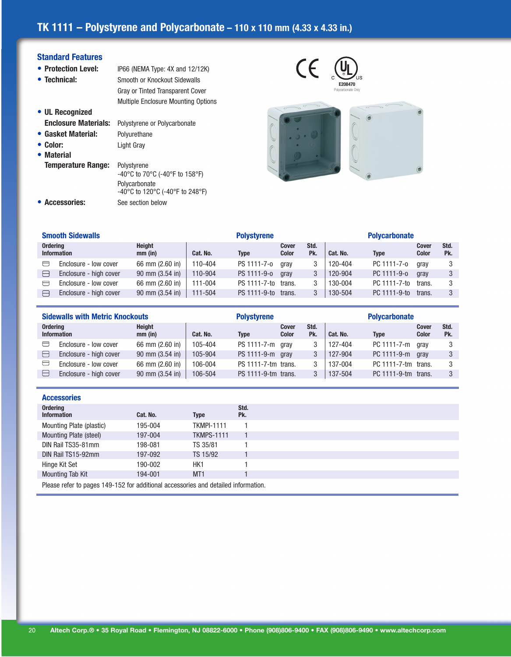## **Standard Features**

**• Protection Level:** IP66 (NEMA Type: 4X and 12/12K) **• Technical:** Smooth or Knockout Sidewalls Gray or Tinted Transparent Cover Multiple Enclosure Mounting Options

- **• UL Recognized Enclosure Materials:** Polystyrene or Polycarbonate **• Gasket Material:** Polyurethane
- 
- **• Material Temperature Range:** Polystyrene

- **• Color:** Light Gray
- -40°C to 70°C (-40°F to 158°F) Polycarbonate -40°C to 120°C (-40°F to 248°F) **• Accessories:** See section below



|                 | <b>Smooth Sidewalls</b> | <b>Polystyrene</b>         |          |                     |                       | <b>Polycarbonate</b> |          |              |                       |             |
|-----------------|-------------------------|----------------------------|----------|---------------------|-----------------------|----------------------|----------|--------------|-----------------------|-------------|
| <b>Ordering</b> | <b>Information</b>      | <b>Height</b><br>$mm$ (in) | Cat. No. | <b>Type</b>         | Cover<br><b>Color</b> | Std.<br>Pk.          | Cat. No. | <b>Type</b>  | Cover<br><b>Color</b> | Std.<br>Pk. |
|                 | Enclosure - low cover   | 66 mm (2.60 in)            | 110-404  | PS 1111-7-0         | gray                  |                      | 120-404  | PC 1111-7-0  | gray                  |             |
|                 | Enclosure - high cover  | 90 mm (3.54 in)            | 110-904  | PS 1111-9-0         | gray                  |                      | 120-904  | PC 1111-9-0  | gray                  | 3           |
| ╒╕              | Enclosure - low cover   | 66 mm (2.60 in)            | 111-004  | PS 1111-7-to trans. |                       |                      | 130-004  | PC 1111-7-to | trans.                | 3           |
|                 | Enclosure - high cover  | 90 mm (3.54 in)            | 111-504  | PS 1111-9-to trans. |                       |                      | 130-504  | PC 1111-9-to | trans.                | 3           |

|                 |                        | <b>Sidewalls with Metric Knockouts</b><br><b>Polycarbonate</b><br><b>Polystyrene</b> |          |                     |                       |             |          |                     |                              |             |
|-----------------|------------------------|--------------------------------------------------------------------------------------|----------|---------------------|-----------------------|-------------|----------|---------------------|------------------------------|-------------|
| <b>Ordering</b> | <b>Information</b>     | <b>Height</b><br>$mm$ (in)                                                           | Cat. No. | <b>Type</b>         | Cover<br><b>Color</b> | Std.<br>Pk. | Cat. No. | Type                | <b>Cover</b><br><b>Color</b> | Std.<br>Pk. |
| ⊟               | Enclosure - low cover  | 66 mm (2.60 in)                                                                      | 105-404  | PS 1111-7-m         | arav                  |             | 127-404  | PC 1111-7-m         | grav                         |             |
| $\Box$          | Enclosure - high cover | 90 mm (3.54 in)                                                                      | 105-904  | PS 1111-9-m         | arav                  | 3           | 127-904  | PC 1111-9-m         | gray                         | 3           |
| ⊟               | Enclosure - low cover  | 66 mm (2.60 in)                                                                      | 106-004  | PS 1111-7-tm trans. |                       |             | 137-004  | PC 1111-7-tm trans. |                              |             |
| A               | Enclosure - high cover | 90 mm (3.54 in)                                                                      | 106-504  | PS 1111-9-tm trans. |                       | 3           | 137-504  | PC 1111-9-tm trans. |                              | 3           |

| <b>Accessories</b>                                                                 |          |                   |             |  |
|------------------------------------------------------------------------------------|----------|-------------------|-------------|--|
| <b>Ordering</b><br><b>Information</b>                                              | Cat. No. | <b>Type</b>       | Std.<br>Pk. |  |
| Mounting Plate (plastic)                                                           | 195-004  | TKMPI-1111        |             |  |
| Mounting Plate (steel)                                                             | 197-004  | <b>TKMPS-1111</b> |             |  |
| DIN Rail TS35-81mm                                                                 | 198-081  | TS 35/81          |             |  |
| DIN Rail TS15-92mm                                                                 | 197-092  | TS 15/92          |             |  |
| Hinge Kit Set                                                                      | 190-002  | HK1               |             |  |
| <b>Mounting Tab Kit</b>                                                            | 194-001  | MT <sub>1</sub>   |             |  |
| Please refer to pages 149-152 for additional accessories and detailed information. |          |                   |             |  |